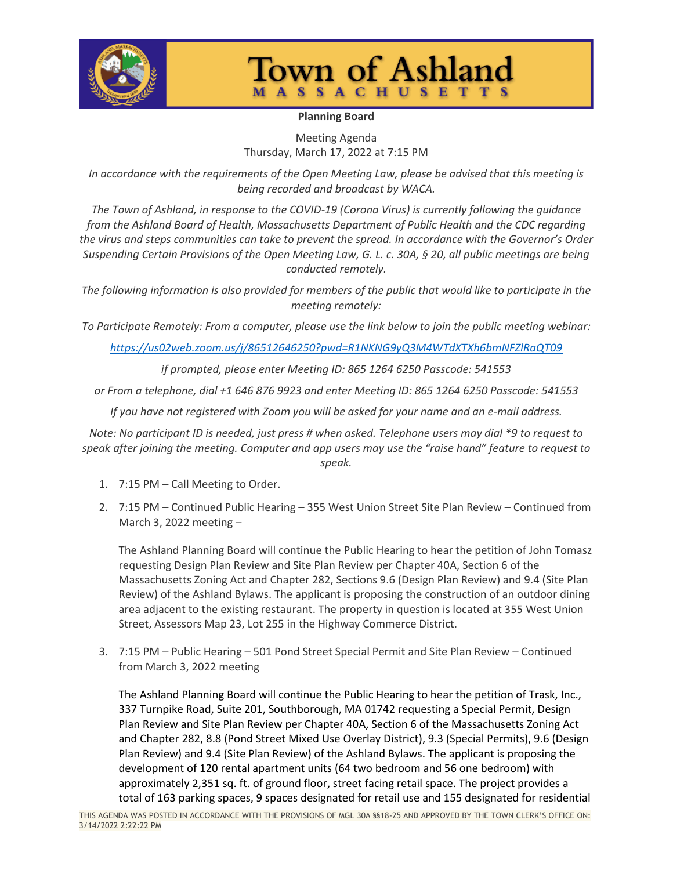

## **Town of Ashland MASSACHUSETTS**

## **Planning Board**

Meeting Agenda Thursday, March 17, 2022 at 7:15 PM

*In accordance with the requirements of the Open Meeting Law, please be advised that this meeting is being recorded and broadcast by WACA.*

*The Town of Ashland, in response to the COVID-19 (Corona Virus) is currently following the guidance from the Ashland Board of Health, Massachusetts Department of Public Health and the CDC regarding the virus and steps communities can take to prevent the spread. In accordance with the Governor's Order Suspending Certain Provisions of the Open Meeting Law, G. L. c. 30A, § 20, all public meetings are being conducted remotely.*

*The following information is also provided for members of the public that would like to participate in the meeting remotely:*

*To Participate Remotely: From a computer, please use the link below to join the public meeting webinar:*

*<https://us02web.zoom.us/j/86512646250?pwd=R1NKNG9yQ3M4WTdXTXh6bmNFZlRaQT09>*

*if prompted, please enter Meeting ID: 865 1264 6250 Passcode: 541553*

*or From a telephone, dial +1 646 876 9923 and enter Meeting ID: 865 1264 6250 Passcode: 541553*

*If you have not registered with Zoom you will be asked for your name and an e-mail address.*

*Note: No participant ID is needed, just press # when asked. Telephone users may dial \*9 to request to speak after joining the meeting. Computer and app users may use the "raise hand" feature to request to speak.*

- 1. 7:15 PM Call Meeting to Order.
- 2. 7:15 PM Continued Public Hearing 355 West Union Street Site Plan Review Continued from March 3, 2022 meeting –

The Ashland Planning Board will continue the Public Hearing to hear the petition of John Tomasz requesting Design Plan Review and Site Plan Review per Chapter 40A, Section 6 of the Massachusetts Zoning Act and Chapter 282, Sections 9.6 (Design Plan Review) and 9.4 (Site Plan Review) of the Ashland Bylaws. The applicant is proposing the construction of an outdoor dining area adjacent to the existing restaurant. The property in question is located at 355 West Union Street, Assessors Map 23, Lot 255 in the Highway Commerce District.

3. 7:15 PM – Public Hearing – 501 Pond Street Special Permit and Site Plan Review – Continued from March 3, 2022 meeting

The Ashland Planning Board will continue the Public Hearing to hear the petition of Trask, Inc., 337 Turnpike Road, Suite 201, Southborough, MA 01742 requesting a Special Permit, Design Plan Review and Site Plan Review per Chapter 40A, Section 6 of the Massachusetts Zoning Act and Chapter 282, 8.8 (Pond Street Mixed Use Overlay District), 9.3 (Special Permits), 9.6 (Design Plan Review) and 9.4 (Site Plan Review) of the Ashland Bylaws. The applicant is proposing the development of 120 rental apartment units (64 two bedroom and 56 one bedroom) with approximately 2,351 sq. ft. of ground floor, street facing retail space. The project provides a total of 163 parking spaces, 9 spaces designated for retail use and 155 designated for residential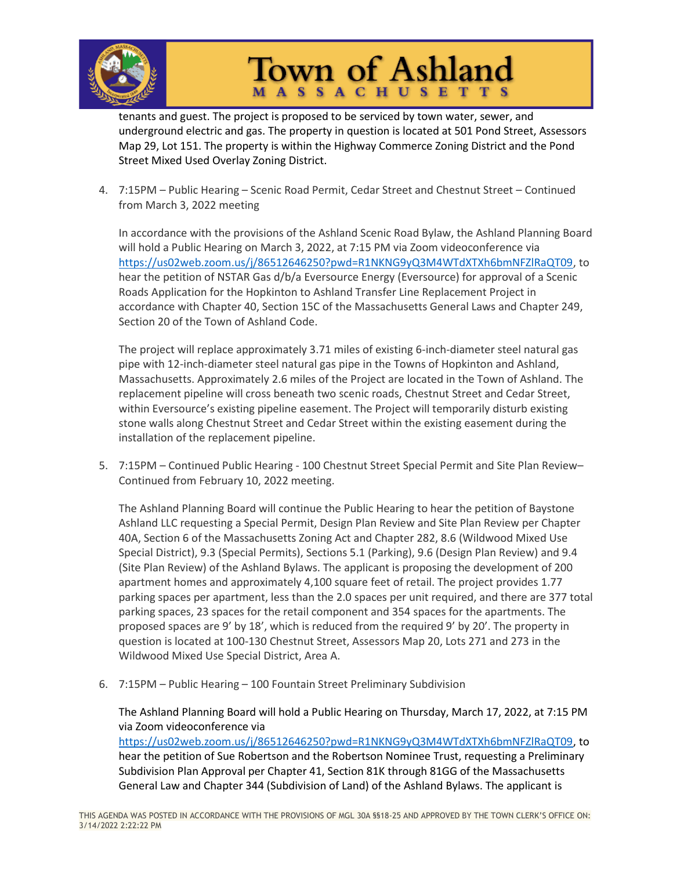

**Town of Ashland MASSACHUSETTS** 

tenants and guest. The project is proposed to be serviced by town water, sewer, and underground electric and gas. The property in question is located at 501 Pond Street, Assessors Map 29, Lot 151. The property is within the Highway Commerce Zoning District and the Pond Street Mixed Used Overlay Zoning District.

4. 7:15PM – Public Hearing – Scenic Road Permit, Cedar Street and Chestnut Street – Continued from March 3, 2022 meeting

In accordance with the provisions of the Ashland Scenic Road Bylaw, the Ashland Planning Board will hold a Public Hearing on March 3, 2022, at 7:15 PM via Zoom videoconference via [https://us02web.zoom.us/j/86512646250?pwd=R1NKNG9yQ3M4WTdXTXh6bmNFZlRaQT09,](https://us02web.zoom.us/j/86512646250?pwd=R1NKNG9yQ3M4WTdXTXh6bmNFZlRaQT09) to hear the petition of NSTAR Gas d/b/a Eversource Energy (Eversource) for approval of a Scenic Roads Application for the Hopkinton to Ashland Transfer Line Replacement Project in accordance with Chapter 40, Section 15C of the Massachusetts General Laws and Chapter 249, Section 20 of the Town of Ashland Code.

The project will replace approximately 3.71 miles of existing 6-inch-diameter steel natural gas pipe with 12-inch-diameter steel natural gas pipe in the Towns of Hopkinton and Ashland, Massachusetts. Approximately 2.6 miles of the Project are located in the Town of Ashland. The replacement pipeline will cross beneath two scenic roads, Chestnut Street and Cedar Street, within Eversource's existing pipeline easement. The Project will temporarily disturb existing stone walls along Chestnut Street and Cedar Street within the existing easement during the installation of the replacement pipeline.

5. 7:15PM – Continued Public Hearing - 100 Chestnut Street Special Permit and Site Plan Review– Continued from February 10, 2022 meeting.

The Ashland Planning Board will continue the Public Hearing to hear the petition of Baystone Ashland LLC requesting a Special Permit, Design Plan Review and Site Plan Review per Chapter 40A, Section 6 of the Massachusetts Zoning Act and Chapter 282, 8.6 (Wildwood Mixed Use Special District), 9.3 (Special Permits), Sections 5.1 (Parking), 9.6 (Design Plan Review) and 9.4 (Site Plan Review) of the Ashland Bylaws. The applicant is proposing the development of 200 apartment homes and approximately 4,100 square feet of retail. The project provides 1.77 parking spaces per apartment, less than the 2.0 spaces per unit required, and there are 377 total parking spaces, 23 spaces for the retail component and 354 spaces for the apartments. The proposed spaces are 9' by 18', which is reduced from the required 9' by 20'. The property in question is located at 100-130 Chestnut Street, Assessors Map 20, Lots 271 and 273 in the Wildwood Mixed Use Special District, Area A.

6. 7:15PM – Public Hearing – 100 Fountain Street Preliminary Subdivision

The Ashland Planning Board will hold a Public Hearing on Thursday, March 17, 2022, at 7:15 PM via Zoom videoconference via

[https://us02web.zoom.us/j/86512646250?pwd=R1NKNG9yQ3M4WTdXTXh6bmNFZlRaQT09,](https://us02web.zoom.us/j/86512646250?pwd=R1NKNG9yQ3M4WTdXTXh6bmNFZlRaQT09) to hear the petition of Sue Robertson and the Robertson Nominee Trust, requesting a Preliminary Subdivision Plan Approval per Chapter 41, Section 81K through 81GG of the Massachusetts General Law and Chapter 344 (Subdivision of Land) of the Ashland Bylaws. The applicant is